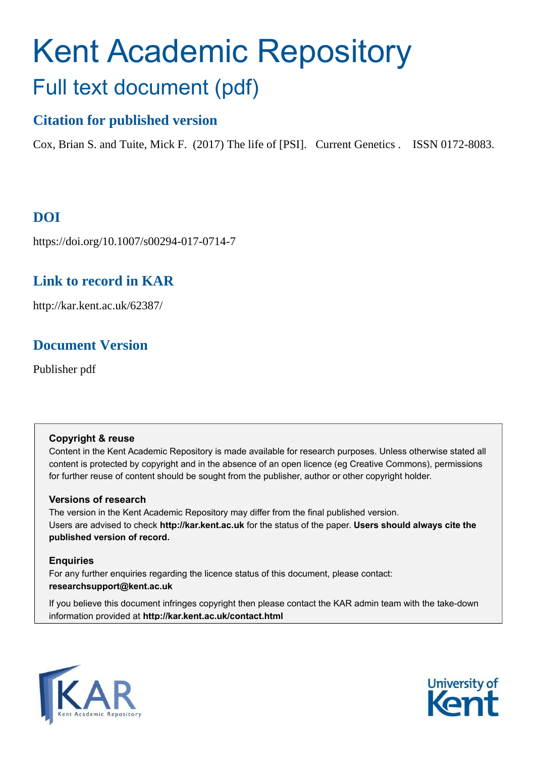# Kent Academic Repository Full text document (pdf)

# **Citation for published version**

Cox, Brian S. and Tuite, Mick F. (2017) The life of [PSI]. Current Genetics . ISSN 0172-8083.

# **DOI**

https://doi.org/10.1007/s00294-017-0714-7

# **Link to record in KAR**

http://kar.kent.ac.uk/62387/

## **Document Version**

Publisher pdf

### **Copyright & reuse**

Content in the Kent Academic Repository is made available for research purposes. Unless otherwise stated all content is protected by copyright and in the absence of an open licence (eg Creative Commons), permissions for further reuse of content should be sought from the publisher, author or other copyright holder.

### **Versions of research**

The version in the Kent Academic Repository may differ from the final published version. Users are advised to check **http://kar.kent.ac.uk** for the status of the paper. **Users should always cite the published version of record.**

### **Enquiries**

For any further enquiries regarding the licence status of this document, please contact: **researchsupport@kent.ac.uk**

If you believe this document infringes copyright then please contact the KAR admin team with the take-down information provided at **http://kar.kent.ac.uk/contact.html**



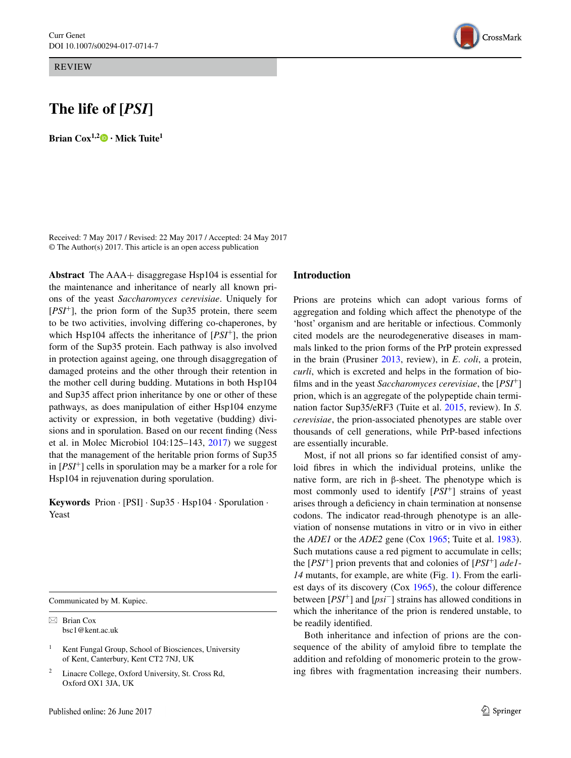REVIEW

### **The life of [***PSI***]**

**BrianCox**<sup> $1,2$ </sup>  $\bullet$  **• Mick Tuite**<sup>1</sup>

Received: 7 May 2017 / Revised: 22 May 2017 / Accepted: 24 May 2017 © The Author(s) 2017. This article is an open access publication

<span id="page-1-0"></span>**Abstract** The AAA+ disaggregase Hsp104 is essential for the maintenance and inheritance of nearly all known prions of the yeast *Saccharomyces cerevisiae*. Uniquely for [*PSI*<sup>+</sup>], the prion form of the Sup35 protein, there seem to be two activities, involving differing co-chaperones, by which Hsp104 affects the inheritance of [*PSI*<sup>+</sup>], the prion form of the Sup35 protein. Each pathway is also involved in protection against ageing, one through disaggregation of damaged proteins and the other through their retention in the mother cell during budding. Mutations in both Hsp104 and Sup35 affect prion inheritance by one or other of these pathways, as does manipulation of either Hsp104 enzyme activity or expression, in both vegetative (budding) divisions and in sporulation. Based on our recent finding (Ness et al. in Molec Microbiol 104:125–143, [2017](#page-7-4)) we suggest that the management of the heritable prion forms of Sup35 in [*PSI*<sup>+</sup>] cells in sporulation may be a marker for a role for Hsp104 in rejuvenation during sporulation.

**Keywords** Prion · [PSI] · Sup35 · Hsp104 · Sporulation · Yeast

Communicated by M. Kupiec.

 $\boxtimes$  Brian Cox bsc1@kent.ac.uk

1 Kent Fungal Group, School of Biosciences, University of Kent, Canterbury, Kent CT2 7NJ, UK

2 Linacre College, Oxford University, St. Cross Rd, Oxford OX1 3JA, UK

#### **Introduction**

Prions are proteins which can adopt various forms of aggregation and folding which affect the phenotype of the 'host' organism and are heritable or infectious. Commonly cited models are the neurodegenerative diseases in mammals linked to the prion forms of the PrP protein expressed in the brain (Prusiner [2013](#page-7-0), review), in *E*. *coli*, a protein, *curli*, which is excreted and helps in the formation of biofilms and in the yeast *Saccharomyces cerevisiae*, the [*PSI*<sup>+</sup>] prion, which is an aggregate of the polypeptide chain termination factor Sup35/eRF3 (Tuite et al. [2015](#page-7-1), review). In *S*. *cerevisiae*, the prion-associated phenotypes are stable over thousands of cell generations, while PrP-based infections are essentially incurable.

Most, if not all prions so far identified consist of amyloid fibres in which the individual proteins, unlike the native form, are rich in β-sheet. The phenotype which is most commonly used to identify [*PSI*<sup>+</sup>] strains of yeast arises through a deficiency in chain termination at nonsense codons. The indicator read-through phenotype is an alleviation of nonsense mutations in vitro or in vivo in either the *ADE1* or the *ADE2* gene (Cox [1965;](#page-7-2) Tuite et al. [1983](#page-7-3)). Such mutations cause a red pigment to accumulate in cells; the [*PSI*<sup>+</sup>] prion prevents that and colonies of [*PSI*<sup>+</sup>] *ade1*- *14* mutants, for example, are white (Fig. [1](#page-1-0)). From the earliest days of its discovery (Cox [1965\)](#page-7-2), the colour difference between [*PSI*<sup>+</sup>] and [*psi*<sup>−</sup>] strains has allowed conditions in which the inheritance of the prion is rendered unstable, to be readily identified.

Both inheritance and infection of prions are the consequence of the ability of amyloid fibre to template the addition and refolding of monomeric protein to the growing fibres with fragmentation increasing their numbers.

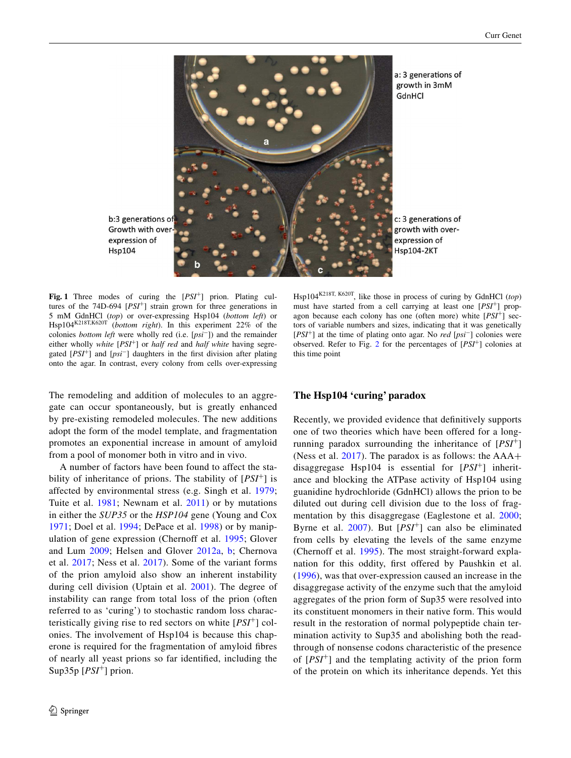

Growth with overexpression of **Hsp104** 

Fig. 1 Three modes of curing the [*PSI<sup>+</sup>*] prion. Plating cultures of the 74D-694 [*PSI*+] strain grown for three generations in 5 mM GdnHCl (*top*) or over-expressing Hsp104 (*bottom left*) or Hsp104K218T,K620T (*bottom right*). In this experiment 22% of the colonies *bottom left* were wholly red (i.e. [*psi*−]) and the remainder either wholly *white* [*PSI*+] or *half red* and *half white* having segregated [*PSI*+] and [*psi*−] daughters in the first division after plating onto the agar. In contrast, every colony from cells over-expressing

The remodeling and addition of molecules to an aggregate can occur spontaneously, but is greatly enhanced by pre-existing remodeled molecules. The new additions adopt the form of the model template, and fragmentation promotes an exponential increase in amount of amyloid from a pool of monomer both in vitro and in vivo.

<span id="page-2-0"></span>A number of factors have been found to affect the stability of inheritance of prions. The stability of [*PSI*<sup>+</sup>] is affected by environmental stress (e.g. Singh et al. [1979](#page-7-5); Tuite et al. [1981;](#page-7-6) Newnam et al. [2011\)](#page-7-7) or by mutations in either the *SUP35* or the *HSP104* gene (Young and Cox [1971;](#page-7-8) Doel et al. [1994;](#page-7-9) DePace et al. [1998\)](#page-7-10) or by manipulation of gene expression (Chernoff et al. [1995;](#page-7-11) Glover and Lum [2009](#page-7-12); Helsen and Glover [2012a,](#page-7-13) [b;](#page-7-14) Chernova et al. [2017;](#page-7-15) Ness et al. [2017\)](#page-7-4). Some of the variant forms of the prion amyloid also show an inherent instability during cell division (Uptain et al. [2001\)](#page-7-16). The degree of instability can range from total loss of the prion (often referred to as 'curing') to stochastic random loss characteristically giving rise to red sectors on white [*PSI*<sup>+</sup>] colonies. The involvement of Hsp104 is because this chaperone is required for the fragmentation of amyloid fibres of nearly all yeast prions so far identified, including the Sup35p  $[PSI^+]$  prion.

 Hsp104K218T, K620T, like those in process of curing by GdnHCl (*top*) must have started from a cell carrying at least one [*PSI*+] propagon because each colony has one (often more) white [*PSI*+] sectors of variable numbers and sizes, indicating that it was genetically [*PSI*+] at the time of plating onto agar. No *red* [*psi*−] colonies were observed. Refer to Fig. [2](#page-2-0) for the percentages of [*PSI*+] colonies at this time point

#### **The Hsp104 'curing' paradox**

Recently, we provided evidence that definitively supports one of two theories which have been offered for a longrunning paradox surrounding the inheritance of [*PSI*<sup>+</sup>] (Ness et al.  $2017$ ). The paradox is as follows: the  $AA+$ disaggregase Hsp104 is essential for [*PSI*<sup>+</sup>] inheritance and blocking the ATPase activity of Hsp104 using guanidine hydrochloride (GdnHCl) allows the prion to be diluted out during cell division due to the loss of fragmentation by this disaggregase (Eaglestone et al. [2000](#page-7-17); Byrne et al. [2007\)](#page-7-18). But [*PSI*<sup>+</sup>] can also be eliminated from cells by elevating the levels of the same enzyme (Chernoff et al. [1995](#page-7-11)). The most straight-forward explanation for this oddity, first offered by Paushkin et al. ([1996](#page-7-19)), was that over-expression caused an increase in the disaggregase activity of the enzyme such that the amyloid aggregates of the prion form of Sup35 were resolved into its constituent monomers in their native form. This would result in the restoration of normal polypeptide chain termination activity to Sup35 and abolishing both the readthrough of nonsense codons characteristic of the presence of [*PSI*<sup>+</sup>] and the templating activity of the prion form of the protein on which its inheritance depends. Yet this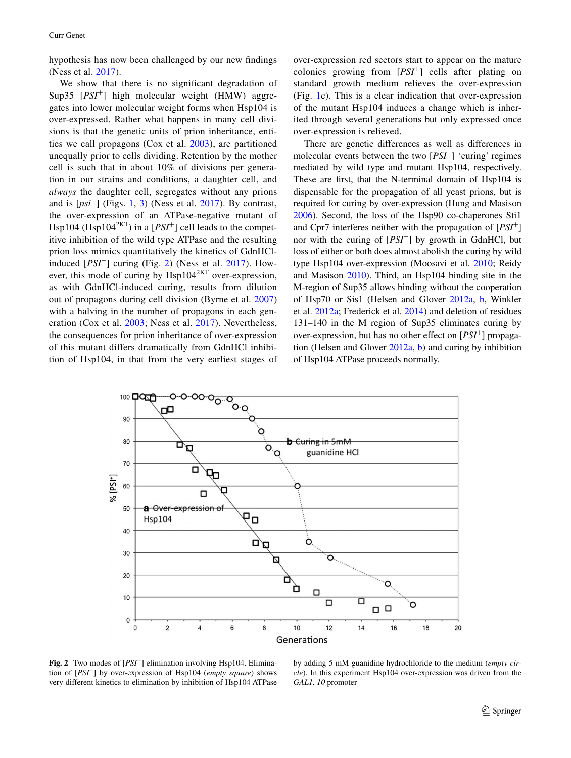hypothesis has now been challenged by our new findings (Ness et al. [2017\)](#page-7-4).

We show that there is no significant degradation of Sup35 [*PSI*<sup>+</sup>] high molecular weight (HMW) aggregates into lower molecular weight forms when Hsp104 is over-expressed. Rather what happens in many cell divisions is that the genetic units of prion inheritance, entities we call propagons (Cox et al. [2003\)](#page-7-20), are partitioned unequally prior to cells dividing. Retention by the mother cell is such that in about 10% of divisions per generation in our strains and conditions, a daughter cell, and *always* the daughter cell, segregates without any prions and is [*psi*<sup>−</sup>] (Figs. [1,](#page-1-0) [3\)](#page-3-0) (Ness et al. [2017](#page-7-4)). By contrast, the over-expression of an ATPase-negative mutant of Hsp104 (Hsp104<sup>2KT</sup>) in a  $[PSI^+]$  cell leads to the competitive inhibition of the wild type ATPase and the resulting prion loss mimics quantitatively the kinetics of GdnHClinduced  $[PSI^+]$  curing (Fig. [2\)](#page-2-0) (Ness et al. [2017](#page-7-4)). However, this mode of curing by Hsp104<sup>2KT</sup> over-expression, as with GdnHCl-induced curing, results from dilution out of propagons during cell division (Byrne et al. [2007\)](#page-7-18) with a halving in the number of propagons in each generation (Cox et al. [2003;](#page-7-20) Ness et al. [2017](#page-7-4)). Nevertheless, the consequences for prion inheritance of over-expression of this mutant differs dramatically from GdnHCl inhibition of Hsp104, in that from the very earliest stages of over-expression red sectors start to appear on the mature colonies growing from [*PSI*<sup>+</sup>] cells after plating on standard growth medium relieves the over-expression (Fig. [1c](#page-1-0)). This is a clear indication that over-expression of the mutant Hsp104 induces a change which is inherited through several generations but only expressed once over-expression is relieved.

There are genetic differences as well as differences in molecular events between the two  $[PSI^+]$  'curing' regimes mediated by wild type and mutant Hsp104, respectively. These are first, that the N-terminal domain of Hsp104 is dispensable for the propagation of all yeast prions, but is required for curing by over-expression (Hung and Masison [2006](#page-7-21)). Second, the loss of the Hsp90 co-chaperones Sti1 and Cpr7 interferes neither with the propagation of [*PSI*<sup>+</sup>] nor with the curing of [*PSI*<sup>+</sup>] by growth in GdnHCl, but loss of either or both does almost abolish the curing by wild type Hsp104 over-expression (Moosavi et al. [2010](#page-7-22); Reidy and Masison [2010](#page-7-23)). Third, an Hsp104 binding site in the M-region of Sup35 allows binding without the cooperation of Hsp70 or Sis1 (Helsen and Glover [2012a,](#page-7-13) [b](#page-7-14), Winkler et al. [2012a](#page-7-24); Frederick et al. [2014](#page-7-25)) and deletion of residues 131–140 in the M region of Sup35 eliminates curing by over-expression, but has no other effect on [*PSI*<sup>+</sup>] propagation (Helsen and Glover [2012a](#page-7-13), [b\)](#page-7-14) and curing by inhibition of Hsp104 ATPase proceeds normally.

<span id="page-3-0"></span>

**Fig. 2** Two modes of [*PSI*<sup>+</sup>] elimination involving Hsp104. Elimination of [*PSI*<sup>+</sup>] by over-expression of Hsp104 (*empty square*) shows very different kinetics to elimination by inhibition of Hsp104 ATPase

by adding 5 mM guanidine hydrochloride to the medium (*empty circle*). In this experiment Hsp104 over-expression was driven from the *GAL1, 10* promoter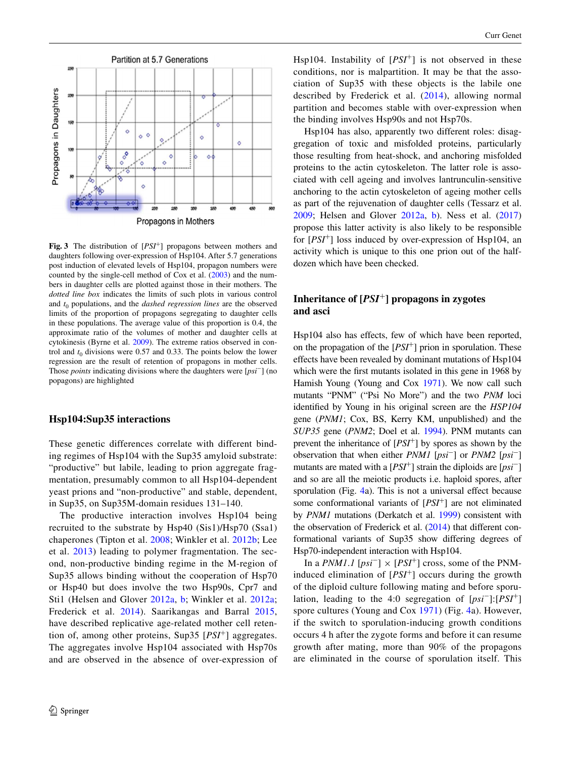

<span id="page-4-0"></span>**Fig. 3** The distribution of [*PSI*+] propagons between mothers and daughters following over-expression of Hsp104. After 5.7 generations post induction of elevated levels of Hsp104, propagon numbers were counted by the single-cell method of Cox et al. ([2003\)](#page-7-20) and the numbers in daughter cells are plotted against those in their mothers. The *dotted line box* indicates the limits of such plots in various control and  $t_0$  populations, and the *dashed regression lines* are the observed limits of the proportion of propagons segregating to daughter cells in these populations. The average value of this proportion is 0.4, the approximate ratio of the volumes of mother and daughter cells at cytokinesis (Byrne et al. [2009\)](#page-7-32). The extreme ratios observed in control and  $t_0$  divisions were 0.57 and 0.33. The points below the lower regression are the result of retention of propagons in mother cells. Those *points* indicating divisions where the daughters were [*psi*−] (no popagons) are highlighted

#### **Hsp104:Sup35 interactions**

These genetic differences correlate with different binding regimes of Hsp104 with the Sup35 amyloid substrate: "productive" but labile, leading to prion aggregate fragmentation, presumably common to all Hsp104-dependent yeast prions and "non-productive" and stable, dependent, in Sup35, on Sup35M-domain residues 131–140.

The productive interaction involves Hsp104 being recruited to the substrate by Hsp40 (Sis1)/Hsp70 (Ssa1) chaperones (Tipton et al. [2008;](#page-7-26) Winkler et al. [2012b](#page-7-27); Lee et al. [2013\)](#page-7-28) leading to polymer fragmentation. The second, non-productive binding regime in the M-region of Sup35 allows binding without the cooperation of Hsp70 or Hsp40 but does involve the two Hsp90s, Cpr7 and Sti1 (Helsen and Glover [2012a](#page-7-13), [b;](#page-7-14) Winkler et al. [2012a](#page-7-24); Frederick et al. [2014](#page-7-25)). Saarikangas and Barral [2015,](#page-7-29) have described replicative age-related mother cell retention of, among other proteins, Sup35 [*PSI*<sup>+</sup>] aggregates. The aggregates involve Hsp104 associated with Hsp70s and are observed in the absence of over-expression of Hsp104. Instability of [*PSI*<sup>+</sup>] is not observed in these conditions, nor is malpartition. It may be that the association of Sup35 with these objects is the labile one described by Frederick et al. [\(2014\)](#page-7-25), allowing normal partition and becomes stable with over-expression when the binding involves Hsp90s and not Hsp70s.

Hsp104 has also, apparently two different roles: disaggregation of toxic and misfolded proteins, particularly those resulting from heat-shock, and anchoring misfolded proteins to the actin cytoskeleton. The latter role is associated with cell ageing and involves lantrunculin-sensitive anchoring to the actin cytoskeleton of ageing mother cells as part of the rejuvenation of daughter cells (Tessarz et al. [2009](#page-7-30); Helsen and Glover [2012a,](#page-7-13) [b](#page-7-14)). Ness et al. ([2017\)](#page-7-4) propose this latter activity is also likely to be responsible for [*PSI*<sup>+</sup>] loss induced by over-expression of Hsp104, an activity which is unique to this one prion out of the halfdozen which have been checked.

### **Inheritance of [***PSI*<sup>+</sup>**] propagons in zygotes and asci**

Hsp104 also has effects, few of which have been reported, on the propagation of the [*PSI*<sup>+</sup>] prion in sporulation. These effects have been revealed by dominant mutations of Hsp104 which were the first mutants isolated in this gene in 1968 by Hamish Young (Young and Cox [1971\)](#page-7-8). We now call such mutants "PNM" ("Psi No More") and the two *PNM* loci identified by Young in his original screen are the *HSP104* gene (*PNM1*; Cox, BS, Kerry KM, unpublished) and the *SUP35* gene (*PNM2*; Doel et al. [1994](#page-7-9)). PNM mutants can prevent the inheritance of [*PSI*<sup>+</sup>] by spores as shown by the observation that when either *PNM1* [*psi*<sup>−</sup>] or *PNM2* [*psi*<sup>−</sup>] mutants are mated with a [*PSI*<sup>+</sup>] strain the diploids are [*psi*<sup>−</sup>] and so are all the meiotic products i.e. haploid spores, after sporulation (Fig. [4a](#page-4-0)). This is not a universal effect because some conformational variants of [*PSI*<sup>+</sup>] are not eliminated by *PNM1* mutations (Derkatch et al. [1999](#page-7-31)) consistent with the observation of Frederick et al. ([2014\)](#page-7-25) that different conformational variants of Sup35 show differing degrees of Hsp70-independent interaction with Hsp104.

In a *PNM1.1* [ $psi^-$ ] × [*PSI*<sup>+</sup>] cross, some of the PNMinduced elimination of [*PSI*<sup>+</sup>] occurs during the growth of the diploid culture following mating and before sporulation, leading to the 4:0 segregation of [*psi*<sup>−</sup>]:[*PSI*<sup>+</sup>] spore cultures (Young and Cox [1971\)](#page-7-8) (Fig. [4a](#page-4-0)). However, if the switch to sporulation-inducing growth conditions occurs 4 h after the zygote forms and before it can resume growth after mating, more than 90% of the propagons are eliminated in the course of sporulation itself. This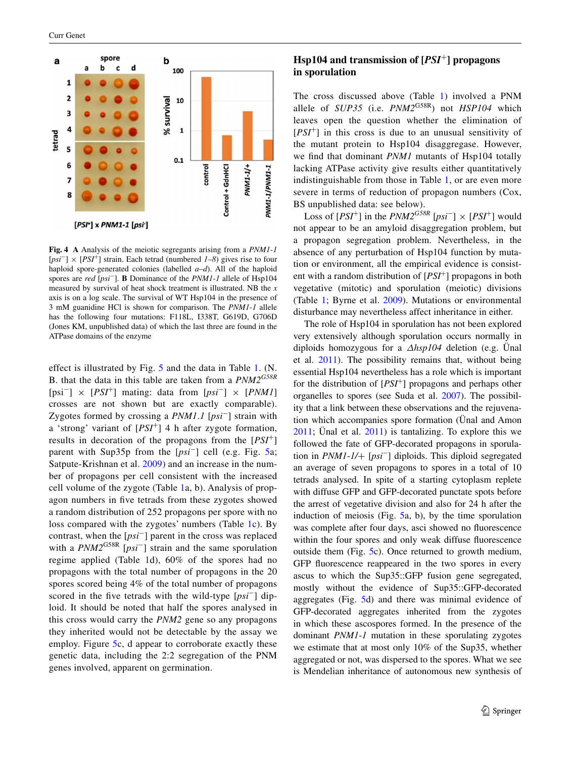

**Fig. 4 A** Analysis of the meiotic segregants arising from a *PNM1*-*1* [*psi*−] × [*PSI*+] strain. Each tetrad (numbered *1*–*8*) gives rise to four haploid spore-generated colonies (labelled *a*–*d*). All of the haploid spores are *red* [*psi*−]. **B** Dominance of the *PNM1*-*1* allele of Hsp104 measured by survival of heat shock treatment is illustrated. NB the *x* axis is on a log scale. The survival of WT Hsp104 in the presence of 3 mM guanidine HCl is shown for comparison. The *PNM1*-*1* allele has the following four mutations: F118L, I338T, G619D, G706D (Jones KM, unpublished data) of which the last three are found in the ATPase domains of the enzyme

<span id="page-5-0"></span>effect is illustrated by Fig. [5](#page-5-0) and the data in Table [1](#page-6-0). (N. B. that the data in this table are taken from a *PNM2G58R* [psi<sup>−</sup>] × [*PSI*<sup>+</sup>] mating: data from [*psi*<sup>−</sup>] × [*PNM1*] crosses are not shown but are exactly comparable). Zygotes formed by crossing a *PNM1*.*1* [*psi*<sup>−</sup>] strain with a 'strong' variant of [*PSI*<sup>+</sup>] 4 h after zygote formation, results in decoration of the propagons from the [*PSI*<sup>+</sup>] parent with Sup35p from the [*psi*<sup>−</sup>] cell (e.g. Fig. [5a](#page-5-0); Satpute-Krishnan et al. [2009](#page-7-33)) and an increase in the number of propagons per cell consistent with the increased cell volume of the zygote (Table [1](#page-6-0)a, b). Analysis of propagon numbers in five tetrads from these zygotes showed a random distribution of 252 propagons per spore with no loss compared with the zygotes' numbers (Table [1](#page-6-0)c). By contrast, when the [*psi*<sup>−</sup>] parent in the cross was replaced with a *PNM2*G58R [*psi*<sup>−</sup>] strain and the same sporulation regime applied (Table [1](#page-6-0)d), 60% of the spores had no propagons with the total number of propagons in the 20 spores scored being 4% of the total number of propagons scored in the five tetrads with the wild-type [*psi*<sup>−</sup>] diploid. It should be noted that half the spores analysed in this cross would carry the *PNM2* gene so any propagons they inherited would not be detectable by the assay we employ. Figure [5c](#page-5-0), d appear to corroborate exactly these genetic data, including the 2:2 segregation of the PNM genes involved, apparent on germination.

### **Hsp104 and transmission of [***PSI*+**] propagons in sporulation**

The cross discussed above (Table [1\)](#page-6-0) involved a PNM allele of *SUP35* (i.e. *PNM2*G58R) not *HSP104* which leaves open the question whether the elimination of [*PSI*<sup>+</sup>] in this cross is due to an unusual sensitivity of the mutant protein to Hsp104 disaggregase. However, we find that dominant *PNM1* mutants of Hsp104 totally lacking ATPase activity give results either quantitatively indistinguishable from those in Table [1,](#page-6-0) or are even more severe in terms of reduction of propagon numbers (Cox, BS unpublished data: see below).

Loss of  $[PSI^+]$  in the  $PNM2^{GS8R}$   $[psi^-] \times [PSI^+]$  would not appear to be an amyloid disaggregation problem, but a propagon segregation problem. Nevertheless, in the absence of any perturbation of Hsp104 function by mutation or environment, all the empirical evidence is consistent with a random distribution of [*PSI*<sup>+</sup>] propagons in both vegetative (mitotic) and sporulation (meiotic) divisions (Table [1](#page-6-0); Byrne et al. [2009](#page-7-32)). Mutations or environmental disturbance may nevertheless affect inheritance in either.

The role of Hsp104 in sporulation has not been explored very extensively although sporulation occurs normally in diploids homozygous for a ∆*hsp104* deletion (e.g. Ünal et al. [2011](#page-7-34)). The possibility remains that, without being essential Hsp104 nevertheless has a role which is important for the distribution of [*PSI*<sup>+</sup>] propagons and perhaps other organelles to spores (see Suda et al. [2007\)](#page-7-35). The possibility that a link between these observations and the rejuvenation which accompanies spore formation (Ünal and Amon [2011](#page-7-36); Ünal et al. [2011\)](#page-7-34) is tantalizing. To explore this we followed the fate of GFP-decorated propagons in sporulation in *PNM1*-*1/*+ [*psi*<sup>−</sup>] diploids. This diploid segregated an average of seven propagons to spores in a total of 10 tetrads analysed. In spite of a starting cytoplasm replete with diffuse GFP and GFP-decorated punctate spots before the arrest of vegetative division and also for 24 h after the induction of meiosis (Fig. [5](#page-5-0)a, b), by the time sporulation was complete after four days, asci showed no fluorescence within the four spores and only weak diffuse fluorescence outside them (Fig. [5](#page-5-0)c). Once returned to growth medium, GFP fluorescence reappeared in the two spores in every ascus to which the Sup35::GFP fusion gene segregated, mostly without the evidence of Sup35::GFP-decorated aggregates (Fig. [5d](#page-5-0)) and there was minimal evidence of GFP-decorated aggregates inherited from the zygotes in which these ascospores formed. In the presence of the dominant *PNM1*-*1* mutation in these sporulating zygotes we estimate that at most only 10% of the Sup35, whether aggregated or not, was dispersed to the spores. What we see is Mendelian inheritance of autonomous new synthesis of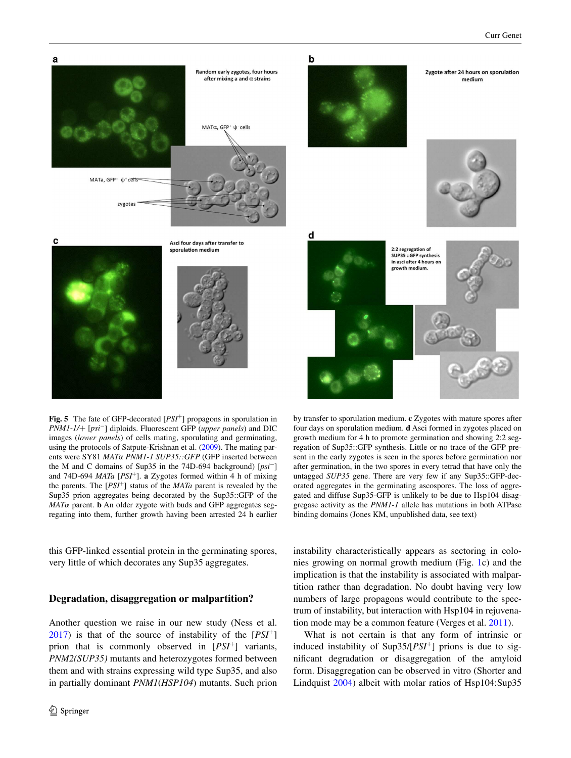<span id="page-6-0"></span>

ents were SY81 *MAT*α *PNM1*-*1 SUP35::GFP* (GFP inserted between the M and C domains of Sup35 in the 74D-694 background) [*psi*−] and 74D-694 *MATa* [*PSI*+]. **a** Zygotes formed within 4 h of mixing the parents. The [*PSI*+] status of the *MATa* parent is revealed by the Sup35 prion aggregates being decorated by the Sup35::GFP of the  $MAT\alpha$  parent. **b** An older zygote with buds and GFP aggregates segregating into them, further growth having been arrested 24 h earlier

this GFP-linked essential protein in the germinating spores, very little of which decorates any Sup35 aggregates.

#### **Degradation, disaggregation or malpartition?**

Another question we raise in our new study (Ness et al. [2017](#page-7-4)) is that of the source of instability of the [*PSI*<sup>+</sup>] prion that is commonly observed in [*PSI*<sup>+</sup>] variants, *PNM2(SUP35)* mutants and heterozygotes formed between them and with strains expressing wild type Sup35, and also in partially dominant *PNM1*(*HSP104*) mutants. Such prion

instability characteristically appears as sectoring in colonies growing on normal growth medium (Fig. [1c](#page-1-0)) and the implication is that the instability is associated with malpartition rather than degradation. No doubt having very low numbers of large propagons would contribute to the spectrum of instability, but interaction with Hsp104 in rejuvenation mode may be a common feature (Verges et al. [2011](#page-7-37)).

after germination, in the two spores in every tetrad that have only the untagged *SUP35* gene. There are very few if any Sup35::GFP-decorated aggregates in the germinating ascospores. The loss of aggregated and diffuse Sup35-GFP is unlikely to be due to Hsp104 disaggregase activity as the *PNM1*-*1* allele has mutations in both ATPase

binding domains (Jones KM, unpublished data, see text)

What is not certain is that any form of intrinsic or induced instability of Sup35/[*PSI*<sup>+</sup>] prions is due to significant degradation or disaggregation of the amyloid form. Disaggregation can be observed in vitro (Shorter and Lindquist [2004\)](#page-7-38) albeit with molar ratios of Hsp104:Sup35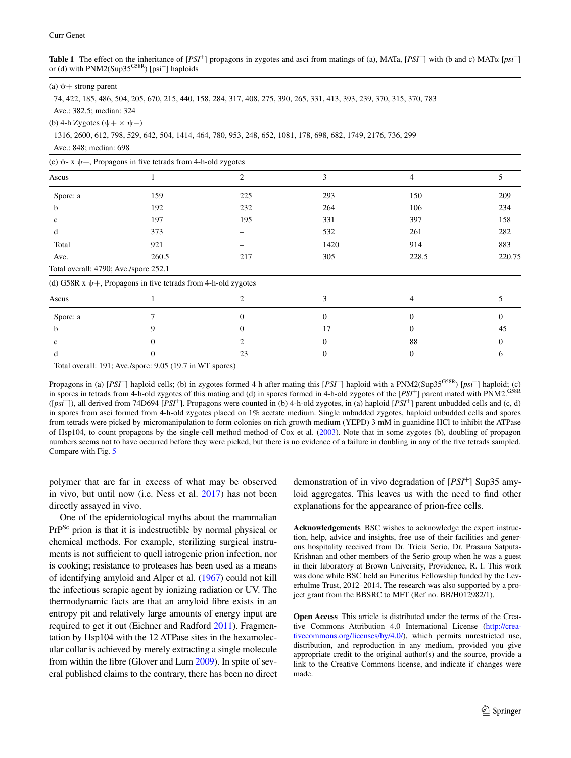**Table 1** The effect on the inheritance of [*PSI*+] propagons in zygotes and asci from matings of (a), MATa, [*PSI*+] with (b and c) MATα [*psi*−] or (d) with PNM2(Sup35<sup>G58R</sup>) [psi<sup>−</sup>] haploids

<span id="page-7-39"></span>

| (a) $\psi$ + strong parent |  |  |  |
|----------------------------|--|--|--|
|----------------------------|--|--|--|

<span id="page-7-19"></span><span id="page-7-18"></span><span id="page-7-7"></span>74, 422, 185, 486, 504, 205, 670, 215, 440, 158, 284, 317, 408, 275, 390, 265, 331, 413, 393, 239, 370, 315, 370, 783

Ave.: 382.5; median: 324

(b) 4-h Zygotes  $(\psi + \times \psi -)$ 

<span id="page-7-32"></span><span id="page-7-23"></span><span id="page-7-0"></span>1316, 2600, 612, 798, 529, 642, 504, 1414, 464, 780, 953, 248, 652, 1081, 178, 698, 682, 1749, 2176, 736, 299

<span id="page-7-29"></span>Ave.: 848; median: 698

(c)  $\psi$ - x  $\psi$ +, Propagons in five tetrads from 4-h-old zygotes

<span id="page-7-33"></span><span id="page-7-20"></span><span id="page-7-15"></span><span id="page-7-11"></span><span id="page-7-10"></span><span id="page-7-2"></span>

| $\sim$ $\sim$ $\sim$ $\sim$ $\sim$ $\sim$<br>. |                                                                     |                |          |          |          |  |  |
|------------------------------------------------|---------------------------------------------------------------------|----------------|----------|----------|----------|--|--|
| Ascus                                          |                                                                     | $\overline{2}$ | 3        | 4        | 5        |  |  |
| Spore: a                                       | 159                                                                 | 225            | 293      | 150      | 209      |  |  |
| b                                              | 192                                                                 | 232            | 264      | 106      | 234      |  |  |
| c                                              | 197                                                                 | 195            | 331      | 397      | 158      |  |  |
| d                                              | 373                                                                 |                | 532      | 261      | 282      |  |  |
| Total                                          | 921                                                                 |                | 1420     | 914      | 883      |  |  |
| Ave.                                           | 260.5                                                               | 217            | 305      | 228.5    | 220.75   |  |  |
| Total overall: 4790; Ave./spore 252.1          |                                                                     |                |          |          |          |  |  |
|                                                | (d) G58R x $\psi$ +, Propagons in five tetrads from 4-h-old zygotes |                |          |          |          |  |  |
| Ascus                                          |                                                                     | 2              | 3        | 4        | 5        |  |  |
| Spore: a                                       |                                                                     | $\theta$       | $\Omega$ | $\Omega$ | $\Omega$ |  |  |
| b                                              | 9                                                                   | 0              | 17       | $\Omega$ | 45       |  |  |
| c                                              |                                                                     |                |          | 88       |          |  |  |
| d                                              | $\Omega$                                                            | 23             | 0        | $\Omega$ | 6        |  |  |
|                                                | Total overall: 191; Ave./spore: 9.05 (19.7 in WT spores)            |                |          |          |          |  |  |

<span id="page-7-40"></span><span id="page-7-31"></span><span id="page-7-17"></span><span id="page-7-9"></span>Propagons in (a) [*PSI*+] haploid cells; (b) in zygotes formed 4 h after mating this [*PSI*+] haploid with a PNM2(Sup35G58R) [*psi*−] haploid; (c) in spores in tetrads from 4-h-old zygotes of this mating and (d) in spores formed in 4-h-old zygotes of the [PSI<sup>+</sup>] parent mated with PNM2.<sup>G58R</sup> ([*psi*−]), all derived from 74D694 [*PSI*+]. Propagons were counted in (b) 4-h-old zygotes, in (a) haploid [*PSI*+] parent unbudded cells and (c, d) in spores from asci formed from 4-h-old zygotes placed on 1% acetate medium. Single unbudded zygotes, haploid unbudded cells and spores from tetrads were picked by micromanipulation to form colonies on rich growth medium (YEPD) 3 mM in guanidine HCl to inhibit the ATPase of Hsp104, to count propagons by the single-cell method method of Cox et al. [\(2003](#page-7-20)). Note that in some zygotes (b), doubling of propagon numbers seems not to have occurred before they were picked, but there is no evidence of a failure in doubling in any of the five tetrads sampled. Compare with Fig. [5](#page-5-0)

<span id="page-7-25"></span><span id="page-7-12"></span>polymer that are far in excess of what may be observed in vivo, but until now (i.e. Ness et al. [2017](#page-7-4)) has not been directly assayed in vivo.

<span id="page-7-28"></span><span id="page-7-22"></span><span id="page-7-21"></span><span id="page-7-14"></span><span id="page-7-13"></span><span id="page-7-4"></span>One of the epidemiological myths about the mammalian PrPSc prion is that it is indestructible by normal physical or chemical methods. For example, sterilizing surgical instruments is not sufficient to quell iatrogenic prion infection, nor is cooking; resistance to proteases has been used as a means of identifying amyloid and Alper et al. [\(1967\)](#page-7-39) could not kill the infectious scrapie agent by ionizing radiation or UV. The thermodynamic facts are that an amyloid fibre exists in an entropy pit and relatively large amounts of energy input are required to get it out (Eichner and Radford [2011\)](#page-7-40). Fragmentation by Hsp104 with the 12 ATPase sites in the hexamolecular collar is achieved by merely extracting a single molecule from within the fibre (Glover and Lum [2009](#page-7-12)). In spite of several published claims to the contrary, there has been no direct <span id="page-7-38"></span><span id="page-7-36"></span><span id="page-7-35"></span><span id="page-7-34"></span><span id="page-7-30"></span><span id="page-7-26"></span><span id="page-7-6"></span><span id="page-7-5"></span><span id="page-7-3"></span><span id="page-7-1"></span>demonstration of in vivo degradation of [*PSI*<sup>+</sup>] Sup35 amyloid aggregates. This leaves us with the need to find other explanations for the appearance of prion-free cells.

<span id="page-7-37"></span><span id="page-7-16"></span>**Acknowledgements** BSC wishes to acknowledge the expert instruction, help, advice and insights, free use of their facilities and generous hospitality received from Dr. Tricia Serio, Dr. Prasana Satputa-Krishnan and other members of the Serio group when he was a guest in their laboratory at Brown University, Providence, R. I. This work was done while BSC held an Emeritus Fellowship funded by the Leverhulme Trust, 2012–2014. The research was also supported by a project grant from the BBSRC to MFT (Ref no. BB/H012982/1).

<span id="page-7-27"></span><span id="page-7-24"></span><span id="page-7-8"></span>**Open Access** This article is distributed under the terms of the Creative Commons Attribution 4.0 International License ([http://crea](http://creativecommons.org/licenses/by/4.0/)[tivecommons.org/licenses/by/4.0/](http://creativecommons.org/licenses/by/4.0/)), which permits unrestricted use, distribution, and reproduction in any medium, provided you give appropriate credit to the original author(s) and the source, provide a link to the Creative Commons license, and indicate if changes were made.